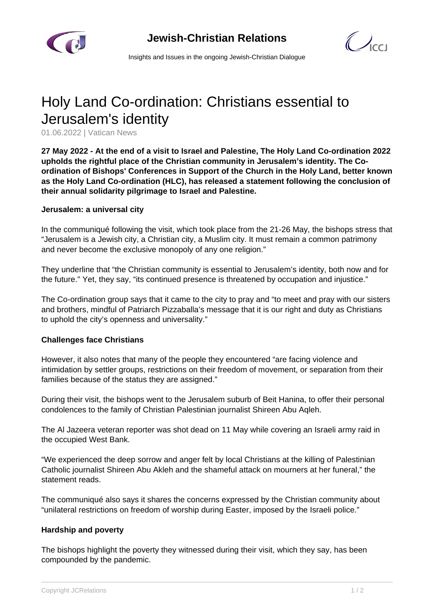

 $\mathcal{C}$ 

Insights and Issues in the ongoing Jewish-Christian Dialogue

# Holy Land Co-ordination: Christians essential to Jerusalem's identity

01.06.2022 | Vatican News

**27 May 2022 - At the end of a visit to Israel and Palestine, The Holy Land Co-ordination 2022 upholds the rightful place of the Christian community in Jerusalem's identity. The Coordination of Bishops' Conferences in Support of the Church in the Holy Land, better known as the Holy Land Co-ordination (HLC), has released a statement following the conclusion of their annual solidarity pilgrimage to Israel and Palestine.**

#### **Jerusalem: a universal city**

In the communiqué following the visit, which took place from the 21-26 May, the bishops stress that "Jerusalem is a Jewish city, a Christian city, a Muslim city. It must remain a common patrimony and never become the exclusive monopoly of any one religion."

They underline that "the Christian community is essential to Jerusalem's identity, both now and for the future." Yet, they say, "its continued presence is threatened by occupation and injustice."

The Co-ordination group says that it came to the city to pray and "to meet and pray with our sisters and brothers, mindful of Patriarch Pizzaballa's message that it is our right and duty as Christians to uphold the city's openness and universality."

### **Challenges face Christians**

However, it also notes that many of the people they encountered "are facing violence and intimidation by settler groups, restrictions on their freedom of movement, or separation from their families because of the status they are assigned."

During their visit, the bishops went to the Jerusalem suburb of Beit Hanina, to offer their personal condolences to the family of Christian Palestinian journalist Shireen Abu Aqleh.

The Al Jazeera veteran reporter was shot dead on 11 May while covering an Israeli army raid in the occupied West Bank.

"We experienced the deep sorrow and anger felt by local Christians at the killing of Palestinian Catholic journalist Shireen Abu Akleh and the shameful attack on mourners at her funeral," the statement reads.

The communiqué also says it shares the concerns expressed by the Christian community about "unilateral restrictions on freedom of worship during Easter, imposed by the Israeli police."

### **Hardship and poverty**

The bishops highlight the poverty they witnessed during their visit, which they say, has been compounded by the pandemic.